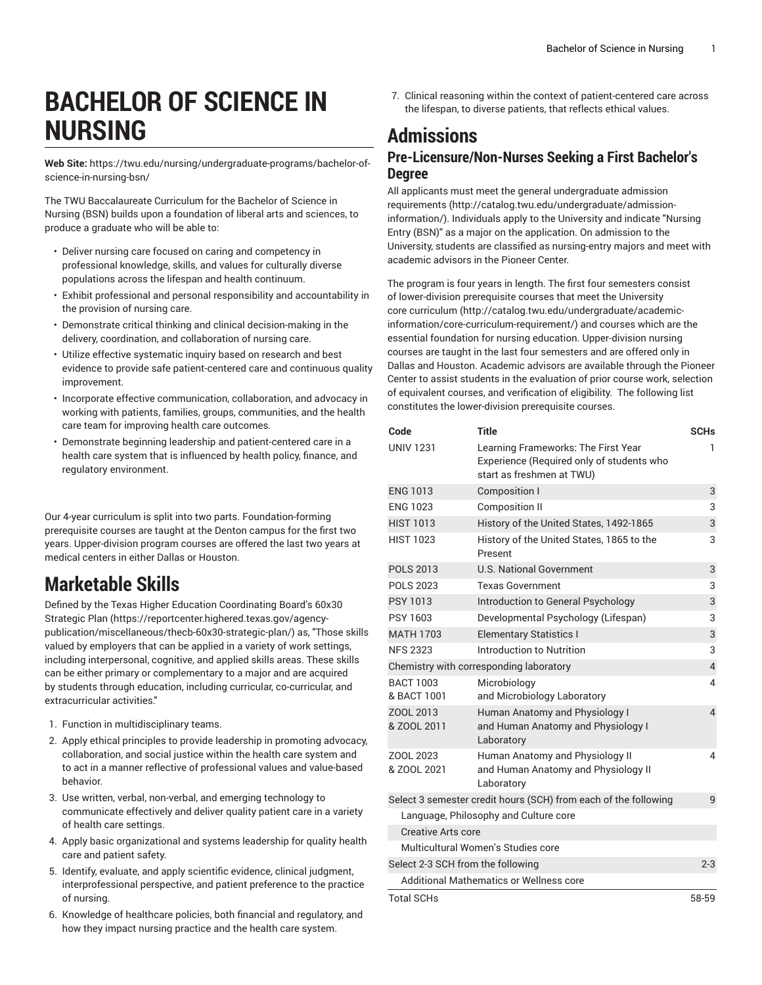# **BACHELOR OF SCIENCE IN NURSING**

**Web Site:** https://twu.edu/nursing/undergraduate-programs/bachelor-ofscience-in-nursing-bsn/

The TWU Baccalaureate Curriculum for the Bachelor of Science in Nursing (BSN) builds upon a foundation of liberal arts and sciences, to produce a graduate who will be able to:

- Deliver nursing care focused on caring and competency in professional knowledge, skills, and values for culturally diverse populations across the lifespan and health continuum.
- Exhibit professional and personal responsibility and accountability in the provision of nursing care.
- Demonstrate critical thinking and clinical decision-making in the delivery, coordination, and collaboration of nursing care.
- Utilize effective systematic inquiry based on research and best evidence to provide safe patient-centered care and continuous quality improvement.
- Incorporate effective communication, collaboration, and advocacy in working with patients, families, groups, communities, and the health care team for improving health care outcomes.
- Demonstrate beginning leadership and patient-centered care in a health care system that is influenced by health policy, finance, and regulatory environment.

Our 4-year curriculum is split into two parts. Foundation-forming prerequisite courses are taught at the Denton campus for the first two years. Upper-division program courses are offered the last two years at medical centers in either Dallas or Houston.

### **Marketable Skills**

Defined by the Texas Higher Education [Coordinating](https://reportcenter.highered.texas.gov/agency-publication/miscellaneous/thecb-60x30-strategic-plan/) Board's 60x30 [Strategic Plan \(https://reportcenter.highered.texas.gov/agency](https://reportcenter.highered.texas.gov/agency-publication/miscellaneous/thecb-60x30-strategic-plan/)[publication/miscellaneous/thecb-60x30-strategic-plan/](https://reportcenter.highered.texas.gov/agency-publication/miscellaneous/thecb-60x30-strategic-plan/)) as, "Those skills valued by employers that can be applied in a variety of work settings, including interpersonal, cognitive, and applied skills areas. These skills can be either primary or complementary to a major and are acquired by students through education, including curricular, co-curricular, and extracurricular activities."

- 1. Function in multidisciplinary teams.
- 2. Apply ethical principles to provide leadership in promoting advocacy, collaboration, and social justice within the health care system and to act in a manner reflective of professional values and value-based behavior.
- 3. Use written, verbal, non-verbal, and emerging technology to communicate effectively and deliver quality patient care in a variety of health care settings.
- 4. Apply basic organizational and systems leadership for quality health care and patient safety.
- 5. Identify, evaluate, and apply scientific evidence, clinical judgment, interprofessional perspective, and patient preference to the practice of nursing.
- 6. Knowledge of healthcare policies, both financial and regulatory, and how they impact nursing practice and the health care system.

7. Clinical reasoning within the context of patient-centered care across the lifespan, to diverse patients, that reflects ethical values.

## **Admissions**

#### **Pre-Licensure/Non-Nurses Seeking a First Bachelor's Degree**

All applicants must meet the general [undergraduate](http://catalog.twu.edu/undergraduate/admission-information/) admission [requirements](http://catalog.twu.edu/undergraduate/admission-information/) ([http://catalog.twu.edu/undergraduate/admission](http://catalog.twu.edu/undergraduate/admission-information/)[information/\)](http://catalog.twu.edu/undergraduate/admission-information/). Individuals apply to the University and indicate "Nursing Entry (BSN)" as a major on the application. On admission to the University, students are classified as nursing-entry majors and meet with academic advisors in the Pioneer Center.

The program is four years in length. The first four semesters consist of lower-division prerequisite courses that meet the [University](http://catalog.twu.edu/undergraduate/academic-information/core-curriculum-requirement/) core [curriculum \(http://catalog.twu.edu/undergraduate/academic](http://catalog.twu.edu/undergraduate/academic-information/core-curriculum-requirement/)[information/core-curriculum-requirement/\)](http://catalog.twu.edu/undergraduate/academic-information/core-curriculum-requirement/) and courses which are the essential foundation for nursing education. Upper-division nursing courses are taught in the last four semesters and are offered only in Dallas and Houston. Academic advisors are available through the Pioneer Center to assist students in the evaluation of prior course work, selection of equivalent courses, and verification of eligibility. The following list constitutes the lower-division prerequisite courses.

| Code                              | <b>Title</b>                                                                                                  | <b>SCHs</b>    |
|-----------------------------------|---------------------------------------------------------------------------------------------------------------|----------------|
| <b>UNIV 1231</b>                  | Learning Frameworks: The First Year<br>Experience (Required only of students who<br>start as freshmen at TWU) | 1              |
| <b>ENG 1013</b>                   | <b>Composition I</b>                                                                                          | 3              |
| <b>ENG 1023</b>                   | <b>Composition II</b>                                                                                         | 3              |
| <b>HIST 1013</b>                  | History of the United States, 1492-1865                                                                       | 3              |
| <b>HIST 1023</b>                  | History of the United States, 1865 to the<br>Present                                                          | 3              |
| <b>POLS 2013</b>                  | <b>U.S. National Government</b>                                                                               | 3              |
| <b>POLS 2023</b>                  | Texas Government                                                                                              | 3              |
| <b>PSY 1013</b>                   | Introduction to General Psychology                                                                            | 3              |
| PSY 1603                          | Developmental Psychology (Lifespan)                                                                           | 3              |
| <b>MATH 1703</b>                  | <b>Elementary Statistics I</b>                                                                                | 3              |
| <b>NFS 2323</b>                   | Introduction to Nutrition                                                                                     | 3              |
|                                   | Chemistry with corresponding laboratory                                                                       | $\overline{4}$ |
| <b>BACT 1003</b><br>& BACT 1001   | Microbiology<br>and Microbiology Laboratory                                                                   | 4              |
| ZOOL 2013<br>& ZOOL 2011          | Human Anatomy and Physiology I<br>and Human Anatomy and Physiology I<br>Laboratory                            | 4              |
| ZOOL 2023<br>& ZOOL 2021          | Human Anatomy and Physiology II<br>and Human Anatomy and Physiology II<br>Laboratory                          | 4              |
|                                   | Select 3 semester credit hours (SCH) from each of the following                                               | 9              |
|                                   | Language, Philosophy and Culture core                                                                         |                |
| Creative Arts core                |                                                                                                               |                |
|                                   | Multicultural Women's Studies core                                                                            |                |
| Select 2-3 SCH from the following |                                                                                                               | $2 - 3$        |
|                                   | Additional Mathematics or Wellness core                                                                       |                |
| <b>Total SCHs</b>                 |                                                                                                               | 58-59          |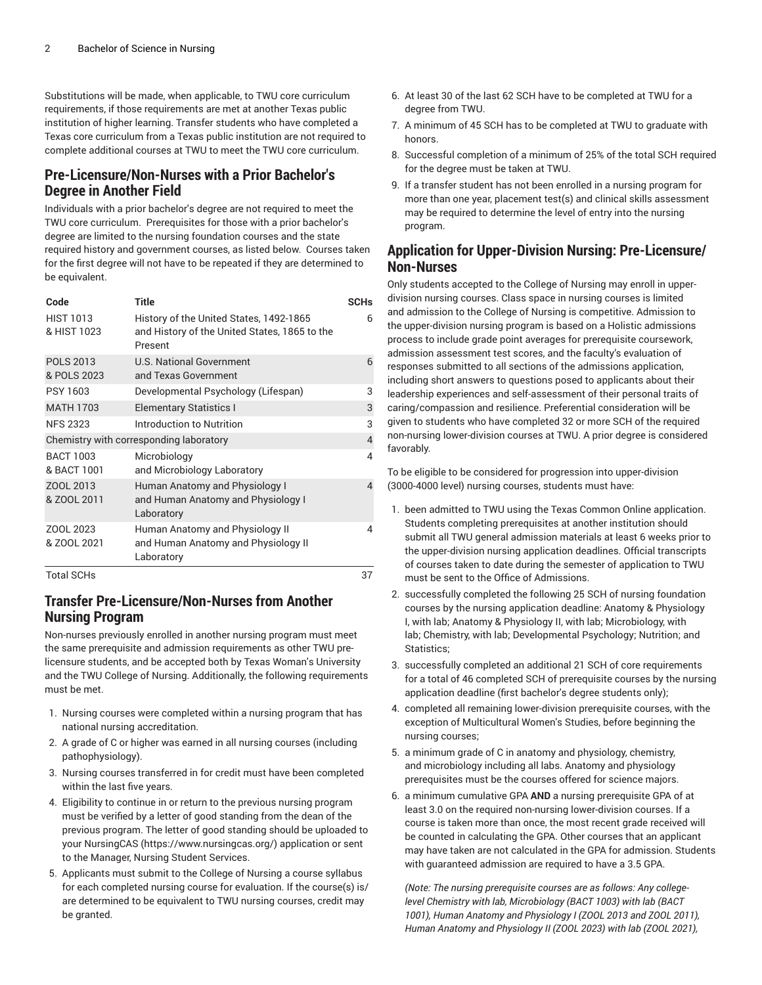Substitutions will be made, when applicable, to TWU core curriculum requirements, if those requirements are met at another Texas public institution of higher learning. Transfer students who have completed a Texas core curriculum from a Texas public institution are not required to complete additional courses at TWU to meet the TWU core curriculum.

#### **Pre-Licensure/Non-Nurses with a Prior Bachelor's Degree in Another Field**

Individuals with a prior bachelor's degree are not required to meet the TWU core curriculum. Prerequisites for those with a prior bachelor's degree are limited to the nursing foundation courses and the state required history and government courses, as listed below. Courses taken for the first degree will not have to be repeated if they are determined to be equivalent.

| Code                            | <b>Title</b>                                                                                        | <b>SCHs</b>    |
|---------------------------------|-----------------------------------------------------------------------------------------------------|----------------|
| <b>HIST 1013</b><br>& HIST 1023 | History of the United States, 1492-1865<br>and History of the United States, 1865 to the<br>Present | 6              |
| <b>POLS 2013</b><br>& POLS 2023 | <b>U.S. National Government</b><br>and Texas Government                                             | 6              |
| <b>PSY 1603</b>                 | Developmental Psychology (Lifespan)                                                                 | 3              |
| <b>MATH 1703</b>                | <b>Elementary Statistics I</b>                                                                      | 3              |
| <b>NFS 2323</b>                 | Introduction to Nutrition                                                                           | 3              |
|                                 | Chemistry with corresponding laboratory                                                             | $\overline{4}$ |
| <b>BACT 1003</b><br>& BACT 1001 | Microbiology<br>and Microbiology Laboratory                                                         | 4              |
| ZOOL 2013<br>& ZOOL 2011        | Human Anatomy and Physiology I<br>and Human Anatomy and Physiology I<br>Laboratory                  | 4              |
| ZOOL 2023<br>& ZOOL 2021        | Human Anatomy and Physiology II<br>and Human Anatomy and Physiology II<br>Laboratory                | 4              |
| <b>Total SCHs</b>               |                                                                                                     | 37             |

#### **Transfer Pre-Licensure/Non-Nurses from Another Nursing Program**

Non-nurses previously enrolled in another nursing program must meet the same prerequisite and admission requirements as other TWU prelicensure students, and be accepted both by Texas Woman's University and the TWU College of Nursing. Additionally, the following requirements must be met.

- 1. Nursing courses were completed within a nursing program that has national nursing accreditation.
- 2. A grade of C or higher was earned in all nursing courses (including pathophysiology).
- 3. Nursing courses transferred in for credit must have been completed within the last five years.
- 4. Eligibility to continue in or return to the previous nursing program must be verified by a letter of good standing from the dean of the previous program. The letter of good standing should be uploaded to your [NursingCAS](https://www.nursingcas.org/) (<https://www.nursingcas.org/>) application or sent to the Manager, Nursing Student Services.
- 5. Applicants must submit to the College of Nursing a course syllabus for each completed nursing course for evaluation. If the course(s) is/ are determined to be equivalent to TWU nursing courses, credit may be granted.
- 6. At least 30 of the last 62 SCH have to be completed at TWU for a degree from TWU.
- 7. A minimum of 45 SCH has to be completed at TWU to graduate with honors.
- 8. Successful completion of a minimum of 25% of the total SCH required for the degree must be taken at TWU.
- 9. If a transfer student has not been enrolled in a nursing program for more than one year, placement test(s) and clinical skills assessment may be required to determine the level of entry into the nursing program.

#### **Application for Upper-Division Nursing: Pre-Licensure/ Non-Nurses**

Only students accepted to the College of Nursing may enroll in upperdivision nursing courses. Class space in nursing courses is limited and admission to the College of Nursing is competitive. Admission to the upper-division nursing program is based on a Holistic admissions process to include grade point averages for prerequisite coursework, admission assessment test scores, and the faculty's evaluation of responses submitted to all sections of the admissions application, including short answers to questions posed to applicants about their leadership experiences and self-assessment of their personal traits of caring/compassion and resilience. Preferential consideration will be given to students who have completed 32 or more SCH of the required non-nursing lower-division courses at TWU. A prior degree is considered favorably.

To be eligible to be considered for progression into upper-division (3000-4000 level) nursing courses, students must have:

- 1. been admitted to TWU using the Texas Common Online application. Students completing prerequisites at another institution should submit all TWU general admission materials at least 6 weeks prior to the upper-division nursing application deadlines. Official transcripts of courses taken to date during the semester of application to TWU must be sent to the Office of Admissions.
- 2. successfully completed the following 25 SCH of nursing foundation courses by the nursing application deadline: Anatomy & Physiology I, with lab; Anatomy & Physiology II, with lab; Microbiology, with lab; Chemistry, with lab; Developmental Psychology; Nutrition; and Statistics;
- 3. successfully completed an additional 21 SCH of core requirements for a total of 46 completed SCH of prerequisite courses by the nursing application deadline (first bachelor's degree students only);
- 4. completed all remaining lower-division prerequisite courses, with the exception of Multicultural Women's Studies, before beginning the nursing courses;
- 5. a minimum grade of C in anatomy and physiology, chemistry, and microbiology including all labs. Anatomy and physiology prerequisites must be the courses offered for science majors.
- 6. a minimum cumulative GPA **AND** a nursing prerequisite GPA of at least 3.0 on the required non-nursing lower-division courses. If a course is taken more than once, the most recent grade received will be counted in calculating the GPA. Other courses that an applicant may have taken are not calculated in the GPA for admission. Students with guaranteed admission are required to have a 3.5 GPA.

*(Note: The nursing prerequisite courses are as follows: Any collegelevel Chemistry with lab, Microbiology (BACT 1003) with lab (BACT 1001), Human Anatomy and Physiology I (ZOOL 2013 and ZOOL 2011), Human Anatomy and Physiology II (ZOOL 2023) with lab (ZOOL 2021),*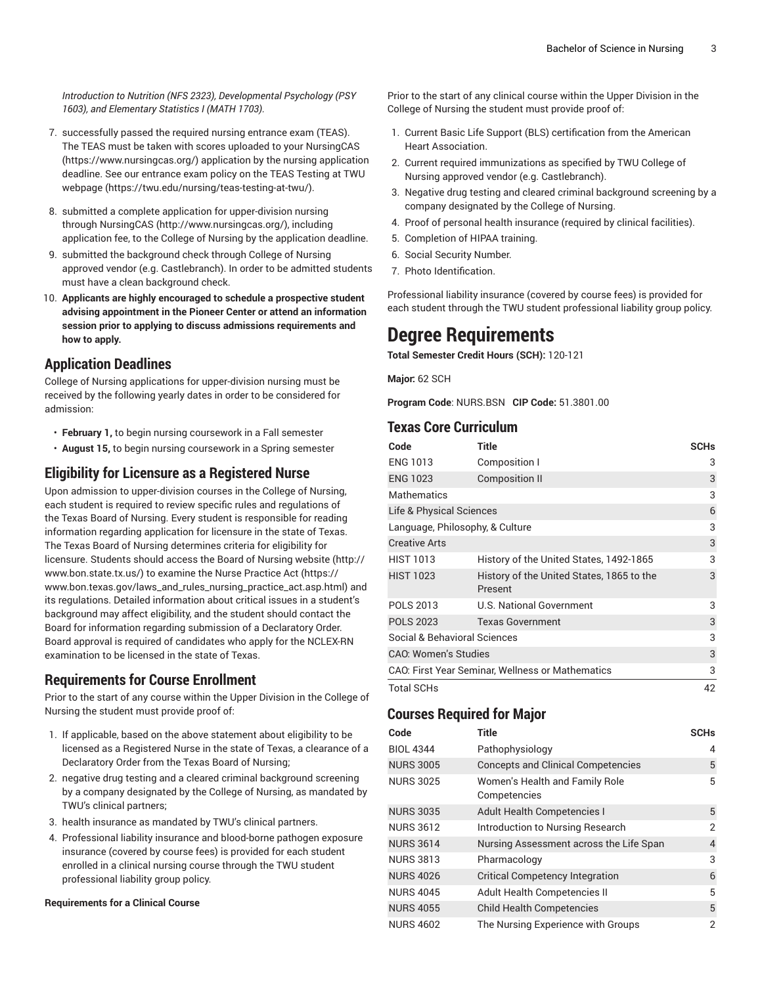*Introduction to Nutrition (NFS 2323), Developmental Psychology (PSY 1603), and Elementary Statistics I (MATH 1703).*

- 7. successfully passed the required nursing entrance exam (TEAS). The TEAS must be taken with scores uploaded to your [NursingCAS](https://www.nursingcas.org/) (<https://www.nursingcas.org/>) application by the nursing application deadline. See our entrance exam policy on the TEAS [Testing](https://twu.edu/nursing/teas-testing-at-twu/) at TWU [webpage \(https://twu.edu/nursing/teas-testing-at-twu/](https://twu.edu/nursing/teas-testing-at-twu/)).
- 8. submitted a complete application for upper-division nursing through [NursingCAS \(http://www.nursingcas.org/](http://www.nursingcas.org/)), including application fee, to the College of Nursing by the application deadline.
- 9. submitted the background check through College of Nursing approved vendor (e.g. Castlebranch). In order to be admitted students must have a clean background check.
- 10. **Applicants are highly encouraged to schedule a prospective student advising appointment in the Pioneer Center or attend an information session prior to applying to discuss admissions requirements and how to apply.**

#### **Application Deadlines**

College of Nursing applications for upper-division nursing must be received by the following yearly dates in order to be considered for admission:

- **February 1,** to begin nursing coursework in a Fall semester
- **August 15,** to begin nursing coursework in a Spring semester

#### **Eligibility for Licensure as a Registered Nurse**

Upon admission to upper-division courses in the College of Nursing, each student is required to review specific rules and regulations of the Texas Board of Nursing. Every student is responsible for reading information regarding application for licensure in the state of Texas. The Texas Board of Nursing determines criteria for eligibility for licensure. Students should access the Board of [Nursing](http://www.bon.state.tx.us/) website ([http://](http://www.bon.state.tx.us/) [www.bon.state.tx.us/\)](http://www.bon.state.tx.us/) to examine the [Nurse Practice Act](https://www.bon.texas.gov/laws_and_rules_nursing_practice_act.asp.html) ([https://](https://www.bon.texas.gov/laws_and_rules_nursing_practice_act.asp.html) [www.bon.texas.gov/laws\\_and\\_rules\\_nursing\\_practice\\_act.asp.html\)](https://www.bon.texas.gov/laws_and_rules_nursing_practice_act.asp.html) and its regulations. Detailed information about critical issues in a student's background may affect eligibility, and the student should contact the Board for information regarding submission of a Declaratory Order. Board approval is required of candidates who apply for the NCLEX-RN examination to be licensed in the state of Texas.

#### **Requirements for Course Enrollment**

Prior to the start of any course within the Upper Division in the College of Nursing the student must provide proof of:

- 1. If applicable, based on the above statement about eligibility to be licensed as a Registered Nurse in the state of Texas, a clearance of a Declaratory Order from the Texas Board of Nursing;
- 2. negative drug testing and a cleared criminal background screening by a company designated by the College of Nursing, as mandated by TWU's clinical partners;
- 3. health insurance as mandated by TWU's clinical partners.
- 4. Professional liability insurance and blood-borne pathogen exposure insurance (covered by course fees) is provided for each student enrolled in a clinical nursing course through the TWU student professional liability group policy.

#### **Requirements for a Clinical Course**

Prior to the start of any clinical course within the Upper Division in the College of Nursing the student must provide proof of:

- 1. Current Basic Life Support (BLS) certification from the American Heart Association.
- 2. Current required immunizations as specified by TWU College of Nursing approved vendor (e.g. Castlebranch).
- 3. Negative drug testing and cleared criminal background screening by a company designated by the College of Nursing.
- 4. Proof of personal health insurance (required by clinical facilities).
- 5. Completion of HIPAA training.
- 6. Social Security Number.
- 7. Photo Identification.

Professional liability insurance (covered by course fees) is provided for each student through the TWU student professional liability group policy.

### **Degree Requirements**

**Total Semester Credit Hours (SCH):** 120-121

**Major:** 62 SCH

**Program Code**: NURS.BSN **CIP Code:** 51.3801.00

#### **Texas Core Curriculum**

| Code                            | Title                                                | <b>SCHs</b> |
|---------------------------------|------------------------------------------------------|-------------|
| <b>ENG 1013</b>                 | Composition I                                        | 3           |
| <b>ENG 1023</b>                 | <b>Composition II</b>                                | 3           |
| <b>Mathematics</b>              |                                                      | 3           |
| Life & Physical Sciences        |                                                      | 6           |
| Language, Philosophy, & Culture |                                                      | 3           |
| <b>Creative Arts</b>            |                                                      | 3           |
| <b>HIST 1013</b>                | History of the United States, 1492-1865              | 3           |
| <b>HIST 1023</b>                | History of the United States, 1865 to the<br>Present | 3           |
| <b>POLS 2013</b>                | U.S. National Government                             | 3           |
| <b>POLS 2023</b>                | <b>Texas Government</b>                              | 3           |
| Social & Behavioral Sciences    |                                                      |             |
| <b>CAO: Women's Studies</b>     |                                                      |             |
|                                 | CAO: First Year Seminar, Wellness or Mathematics     | 3           |
| <b>Total SCHs</b>               |                                                      | 42          |

#### **Courses Required for Major**

| Code             | <b>Title</b>                                   | <b>SCHs</b> |
|------------------|------------------------------------------------|-------------|
| <b>BIOL 4344</b> | Pathophysiology                                | 4           |
| <b>NURS 3005</b> | <b>Concepts and Clinical Competencies</b>      | 5           |
| <b>NURS 3025</b> | Women's Health and Family Role<br>Competencies | 5           |
| <b>NURS 3035</b> | <b>Adult Health Competencies I</b>             | 5           |
| <b>NURS 3612</b> | Introduction to Nursing Research               | 2           |
| <b>NURS 3614</b> | Nursing Assessment across the Life Span        | 4           |
| <b>NURS 3813</b> | Pharmacology                                   | 3           |
| <b>NURS 4026</b> | <b>Critical Competency Integration</b>         | 6           |
| <b>NURS 4045</b> | Adult Health Competencies II                   | 5           |
| <b>NURS 4055</b> | <b>Child Health Competencies</b>               | 5           |
| <b>NURS 4602</b> | The Nursing Experience with Groups             | 2           |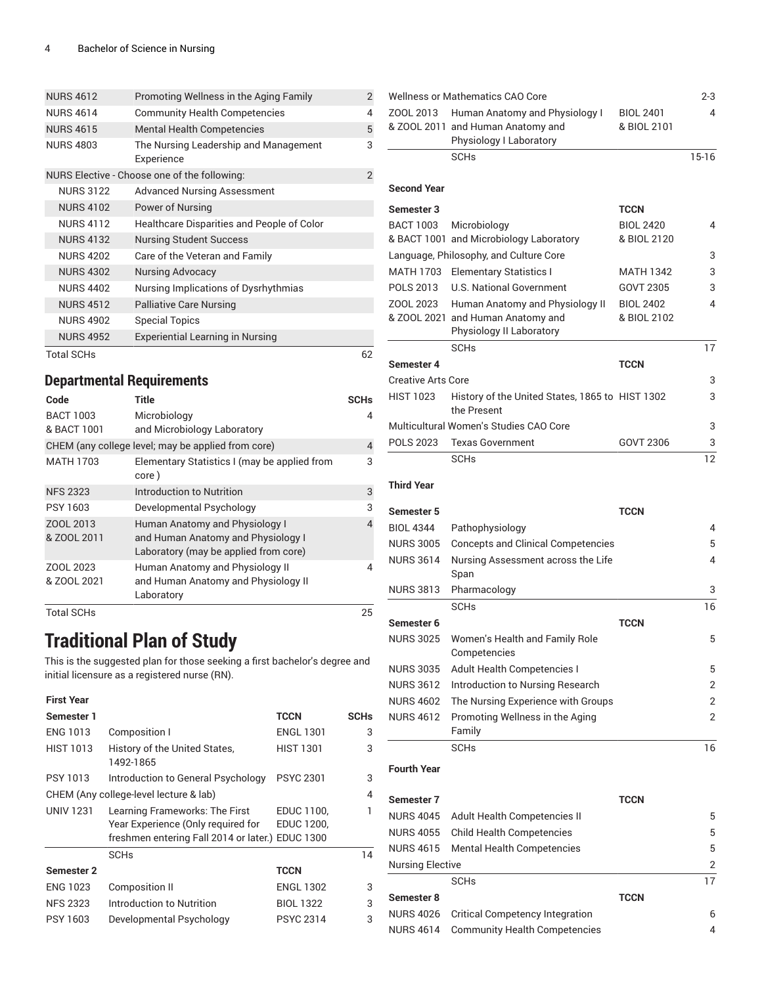| <b>NURS 4612</b>  | Promoting Wellness in the Aging Family              |                |
|-------------------|-----------------------------------------------------|----------------|
| <b>NURS 4614</b>  | <b>Community Health Competencies</b>                | 4              |
| <b>NURS 4615</b>  | <b>Mental Health Competencies</b>                   | 5              |
| <b>NURS 4803</b>  | The Nursing Leadership and Management<br>Experience | 3              |
|                   | NURS Elective - Choose one of the following:        | $\overline{2}$ |
| <b>NURS 3122</b>  | <b>Advanced Nursing Assessment</b>                  |                |
| <b>NURS 4102</b>  | Power of Nursing                                    |                |
| <b>NURS 4112</b>  | Healthcare Disparities and People of Color          |                |
| <b>NURS 4132</b>  | <b>Nursing Student Success</b>                      |                |
| <b>NURS 4202</b>  | Care of the Veteran and Family                      |                |
| <b>NURS 4302</b>  | Nursing Advocacy                                    |                |
| <b>NURS 4402</b>  | Nursing Implications of Dysrhythmias                |                |
| <b>NURS 4512</b>  | <b>Palliative Care Nursing</b>                      |                |
| <b>NURS 4902</b>  | <b>Special Topics</b>                               |                |
| <b>NURS 4952</b>  | <b>Experiential Learning in Nursing</b>             |                |
| <b>Total SCHs</b> |                                                     | 62             |

#### **Departmental Requirements**

| Code                     | <b>Title</b>                                                                                                  | <b>SCHs</b> |
|--------------------------|---------------------------------------------------------------------------------------------------------------|-------------|
| <b>BACT 1003</b>         | Microbiology                                                                                                  | 4           |
| & BACT 1001              | and Microbiology Laboratory                                                                                   |             |
|                          | CHEM (any college level; may be applied from core)                                                            | 4           |
| <b>MATH 1703</b>         | Elementary Statistics I (may be applied from<br>core)                                                         | 3           |
| <b>NFS 2323</b>          | Introduction to Nutrition                                                                                     | 3           |
| PSY 1603                 | Developmental Psychology                                                                                      | 3           |
| ZOOL 2013<br>& ZOOL 2011 | Human Anatomy and Physiology I<br>and Human Anatomy and Physiology I<br>Laboratory (may be applied from core) | 4           |
| ZOOL 2023<br>& ZOOL 2021 | Human Anatomy and Physiology II<br>and Human Anatomy and Physiology II<br>Laboratory                          | 4           |
| <b>Total SCHs</b>        |                                                                                                               | 25          |

## **Traditional Plan of Study**

This is the suggested plan for those seeking a first bachelor's degree and initial licensure as a registered nurse (RN).

| <b>First Year</b> |                                                  |                   |             |
|-------------------|--------------------------------------------------|-------------------|-------------|
| Semester 1        |                                                  | <b>TCCN</b>       | <b>SCHs</b> |
| <b>ENG 1013</b>   | Composition I                                    | <b>ENGL 1301</b>  | 3           |
| <b>HIST 1013</b>  | History of the United States,<br>1492-1865       | <b>HIST 1301</b>  | 3           |
| PSY 1013          | Introduction to General Psychology               | <b>PSYC 2301</b>  | 3           |
|                   | CHEM (Any college-level lecture & lab)           |                   | 4           |
| <b>UNIV 1231</b>  | Learning Frameworks: The First                   | EDUC 1100,        | 1           |
|                   | Year Experience (Only required for               | <b>EDUC 1200,</b> |             |
|                   | freshmen entering Fall 2014 or later.) EDUC 1300 |                   |             |
|                   | <b>SCH<sub>s</sub></b>                           |                   | 14          |
| <b>Semester 2</b> |                                                  | <b>TCCN</b>       |             |
| <b>ENG 1023</b>   | Composition II                                   | <b>ENGL 1302</b>  | 3           |
| <b>NFS 2323</b>   | Introduction to Nutrition                        | <b>BIOL 1322</b>  | 3           |
| PSY 1603          | Developmental Psychology                         | <b>PSYC 2314</b>  | 3           |

|                           | <b>Wellness or Mathematics CAO Core</b>                                                        |                                 | $2 - 3$ |
|---------------------------|------------------------------------------------------------------------------------------------|---------------------------------|---------|
| ZOOL 2013                 | Human Anatomy and Physiology I<br>& ZOOL 2011 and Human Anatomy and<br>Physiology I Laboratory | <b>BIOL 2401</b><br>& BIOL 2101 | 4       |
|                           | <b>SCH<sub>s</sub></b>                                                                         |                                 | $15-16$ |
|                           |                                                                                                |                                 |         |
| <b>Second Year</b>        |                                                                                                |                                 |         |
| <b>Semester 3</b>         |                                                                                                | <b>TCCN</b>                     |         |
| <b>BACT 1003</b>          | Microbiology                                                                                   | <b>BIOL 2420</b>                | 4       |
|                           | & BACT 1001 and Microbiology Laboratory                                                        | & BIOL 2120                     |         |
|                           | Language, Philosophy, and Culture Core                                                         |                                 | 3       |
| <b>MATH 1703</b>          | <b>Elementary Statistics I</b>                                                                 | <b>MATH 1342</b>                | 3       |
| POLS 2013                 | <b>U.S. National Government</b>                                                                | GOVT 2305                       | 3       |
| ZOOL 2023                 | Human Anatomy and Physiology II                                                                | <b>BIOL 2402</b><br>& BIOL 2102 | 4       |
|                           | & ZOOL 2021 and Human Anatomy and<br>Physiology II Laboratory                                  |                                 |         |
|                           | SCHs                                                                                           |                                 | 17      |
| Semester 4                |                                                                                                | <b>TCCN</b>                     |         |
| <b>Creative Arts Core</b> |                                                                                                |                                 | 3       |
| <b>HIST 1023</b>          | History of the United States, 1865 to HIST 1302                                                |                                 | 3       |
|                           | the Present                                                                                    |                                 |         |
|                           | Multicultural Women's Studies CAO Core                                                         |                                 | 3       |
| <b>POLS 2023</b>          | <b>Texas Government</b>                                                                        | GOVT 2306                       | 3       |
|                           | <b>SCHs</b>                                                                                    |                                 | 12      |
| <b>Third Year</b>         |                                                                                                |                                 |         |
|                           |                                                                                                |                                 |         |
| Semester 5                |                                                                                                | <b>TCCN</b>                     |         |
| <b>BIOL 4344</b>          | Pathophysiology                                                                                |                                 | 4       |
| <b>NURS 3005</b>          | <b>Concepts and Clinical Competencies</b>                                                      |                                 | 5       |
| <b>NURS 3614</b>          | Nursing Assessment across the Life<br>Span                                                     |                                 | 4       |
| <b>NURS 3813</b>          | Pharmacology                                                                                   |                                 | 3       |
|                           | <b>SCH<sub>s</sub></b>                                                                         |                                 | 16      |
| Semester 6                |                                                                                                | TCCN                            |         |
| <b>NURS 3025</b>          | Women's Health and Family Role                                                                 |                                 | 5       |
|                           | Competencies                                                                                   |                                 |         |
| <b>NURS 3035</b>          | Adult Health Competencies I                                                                    |                                 | 5       |
| <b>NURS 3612</b>          | Introduction to Nursing Research                                                               |                                 | 2       |
| <b>NURS 4602</b>          | The Nursing Experience with Groups                                                             |                                 | 2       |
| <b>NURS 4612</b>          | Promoting Wellness in the Aging<br>Family                                                      |                                 | 2       |
|                           | <b>SCHs</b>                                                                                    |                                 | 16      |
|                           |                                                                                                |                                 |         |
| <b>Fourth Year</b>        |                                                                                                |                                 |         |
| Semester 7                |                                                                                                | <b>TCCN</b>                     |         |
| <b>NURS 4045</b>          | Adult Health Competencies II                                                                   |                                 | 5       |
| <b>NURS 4055</b>          | <b>Child Health Competencies</b>                                                               |                                 | 5       |
| <b>NURS 4615</b>          | <b>Mental Health Competencies</b>                                                              |                                 | 5       |
| <b>Nursing Elective</b>   |                                                                                                |                                 | 2       |
|                           | <b>SCHs</b>                                                                                    |                                 | 17      |
| Semester 8                |                                                                                                | <b>TCCN</b>                     |         |
| <b>NURS 4026</b>          | <b>Critical Competency Integration</b>                                                         |                                 | 6       |
| <b>NURS 4614</b>          | <b>Community Health Competencies</b>                                                           |                                 | 4       |